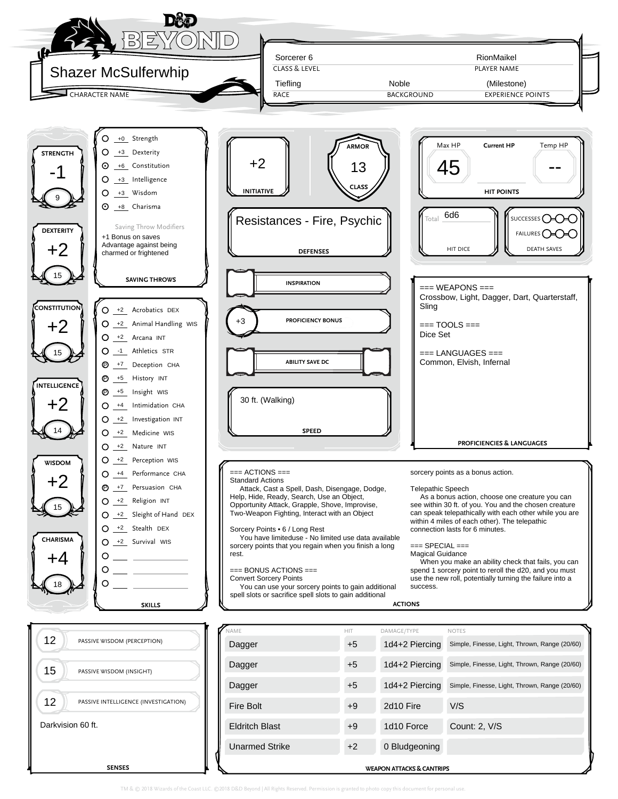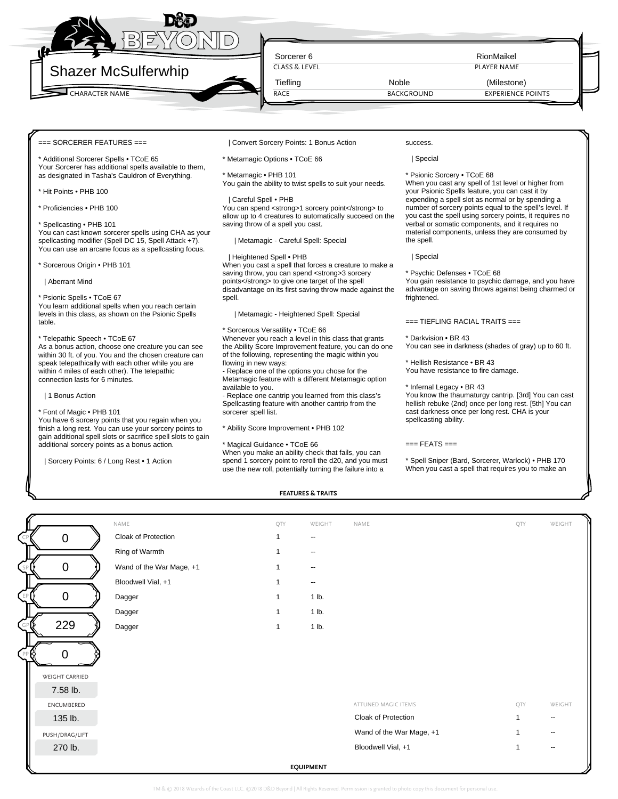

RACE

CLASS & LEVEL **PLAYER NAME** 

 $=$  SORCERER FEATURES  $==$ 

Additional Sorcerer Spells • TCoE 65 Your Sorcerer has additional spells available to them, as designated in Tasha's Cauldron of Everything.

\* Hit Points • PHB 100

\* Proficiencies • PHB 100

# \* Spellcasting • PHB 101

You can cast known sorcerer spells using CHA as your spellcasting modifier (Spell DC 15, Spell Attack +7). You can use an arcane focus as a spellcasting focus.

\* Sorcerous Origin • PHB 101

| Aberrant Mind

\* Psionic Spells • TCoE 67

You learn additional spells when you reach certain levels in this class, as shown on the Psionic Spells table.

# \* Telepathic Speech • TCoE 67

As a bonus action, choose one creature you can see within 30 ft. of you. You and the chosen creature can speak telepathically with each other while you are within 4 miles of each other). The telepathic connection lasts for 6 minutes.

| 1 Bonus Action

#### \* Font of Magic • PHB 101

You have 6 sorcery points that you regain when you finish a long rest. You can use your sorcery points to gain additional spell slots or sacrifice spell slots to gain additional sorcery points as a bonus action.

| Sorcery Points: 6 / Long Rest • 1 Action

| Convert Sorcery Points: 1 Bonus Action

\* Metamagic Options • TCoE 66

\* Metamagic • PHB 101

You gain the ability to twist spells to suit your needs.

### | Careful Spell • PHB

You can spend <strong>1 sorcery point</strong> to allow up to 4 creatures to automatically succeed on the saving throw of a spell you cast.

| Metamagic - Careful Spell: Special

#### | Heightened Spell • PHB

When you cast a spell that forces a creature to make a saving throw, you can spend <strong>3 sorcery points</strong> to give one target of the spell disadvantage on its first saving throw made against the spell.

| Metamagic - Heightened Spell: Special

#### \* Sorcerous Versatility • TCoE 66

Whenever you reach a level in this class that grants the Ability Score Improvement feature, you can do one of the following, representing the magic within you flowing in new ways:

- Replace one of the options you chose for the Metamagic feature with a different Metamagic option available to you.

- Replace one cantrip you learned from this class's Spellcasting feature with another cantrip from the

sorcerer spell list.

\* Ability Score Improvement • PHB 102

#### \* Magical Guidance • TCoE 66

When you make an ability check that fails, you can spend 1 sorcery point to reroll the d20, and you must use the new roll, potentially turning the failure into a

success. | Special

\* Psionic Sorcery • TCoE 68

When you cast any spell of 1st level or higher from your Psionic Spells feature, you can cast it by expending a spell slot as normal or by spending a number of sorcery points equal to the spell's level. If you cast the spell using sorcery points, it requires no verbal or somatic components, and it requires no material components, unless they are consumed by the spell.

| Special

\* Psychic Defenses • TCoE 68

You gain resistance to psychic damage, and you have advantage on saving throws against being charmed or frightened.

=== TIEFLING RACIAL TRAITS ===

\* Darkvision • BR 43

You can see in darkness (shades of gray) up to 60 ft.

\* Hellish Resistance • BR 43 You have resistance to fire damage.

\* Infernal Legacy • BR 43

You know the thaumaturgy cantrip. [3rd] You can cast hellish rebuke (2nd) once per long rest. [5th] You can cast darkness once per long rest. CHA is your spellcasting ability.

## $==$  FEATS  $==$

\* Spell Sniper (Bard, Sorcerer, Warlock) • PHB 170 When you cast a spell that requires you to make an

**FEATURES & TRAITS**

|                | NAME                     | QTY            | WEIGHT                   | NAME                     | QTY            | WEIGHT                   |
|----------------|--------------------------|----------------|--------------------------|--------------------------|----------------|--------------------------|
| $\overline{0}$ | Cloak of Protection      |                | $\overline{\phantom{a}}$ |                          |                |                          |
|                | Ring of Warmth           |                | $\overline{\phantom{a}}$ |                          |                |                          |
| $\Omega$       | Wand of the War Mage, +1 |                | $\overline{\phantom{a}}$ |                          |                |                          |
|                | Bloodwell Vial, +1       |                | $\overline{\phantom{m}}$ |                          |                |                          |
| $\overline{0}$ | Dagger                   | 1              | 1 lb.                    |                          |                |                          |
|                | Dagger                   | 1              | 1 lb.                    |                          |                |                          |
| 229            | Dagger                   | $\overline{1}$ | 1 lb.                    |                          |                |                          |
|                |                          |                |                          |                          |                |                          |
| WEIGHT CARRIED |                          |                |                          |                          |                |                          |
| 7.58 lb.       |                          |                |                          |                          |                |                          |
| ENCUMBERED     |                          |                |                          | ATTUNED MAGIC ITEMS      | QTY            | WEIGHT                   |
| 135 lb.        |                          |                |                          | Cloak of Protection      | 1              | $\overline{\phantom{a}}$ |
| PUSH/DRAG/LIFT |                          |                |                          | Wand of the War Mage, +1 |                |                          |
| 270 lb.        |                          |                |                          | Bloodwell Vial, +1       | $\overline{1}$ |                          |
|                |                          |                |                          |                          |                |                          |

| $\pmb{0}$          | Cloak of Protection      |   |                          |                          |     |                          |  |
|--------------------|--------------------------|---|--------------------------|--------------------------|-----|--------------------------|--|
|                    | Ring of Warmth           |   | $\overline{\phantom{a}}$ |                          |     |                          |  |
| $\mathbf 0$        | Wand of the War Mage, +1 |   | --                       |                          |     |                          |  |
|                    | Bloodwell Vial, +1       |   |                          |                          |     |                          |  |
| $\mathbf 0$        | Dagger                   |   | 1 lb.                    |                          |     |                          |  |
|                    | Dagger                   |   | 1 lb.                    |                          |     |                          |  |
| 229                | Dagger                   | 1 | 1 lb.                    |                          |     |                          |  |
| $\mathbf 0$        |                          |   |                          |                          |     |                          |  |
| <b>GHT CARRIED</b> |                          |   |                          |                          |     |                          |  |
| 7.58 lb.           |                          |   |                          |                          |     |                          |  |
| NCUMBERED          |                          |   |                          | ATTUNED MAGIC ITEMS      | QTY | WEIGHT                   |  |
| 135 lb.            |                          |   |                          | Cloak of Protection      |     | $\overline{\phantom{a}}$ |  |
| H/DRAG/LIFT        |                          |   |                          | Wand of the War Mage, +1 | 1   |                          |  |
| 270 lb.            |                          |   |                          | Bloodwell Vial, +1       |     |                          |  |

| ATTUNED MAGIC ITEMS      | oiy | WFIGHT |
|--------------------------|-----|--------|
| Cloak of Protection      |     | --     |
| Wand of the War Mage, +1 |     | $- -$  |
| Bloodwell Vial, +1       |     | --     |
|                          |     |        |

TM & © 2018 Wizards of the Coast LLC. ©2018 D&D Beyond | All Rights Re-

**EQUIPMENT**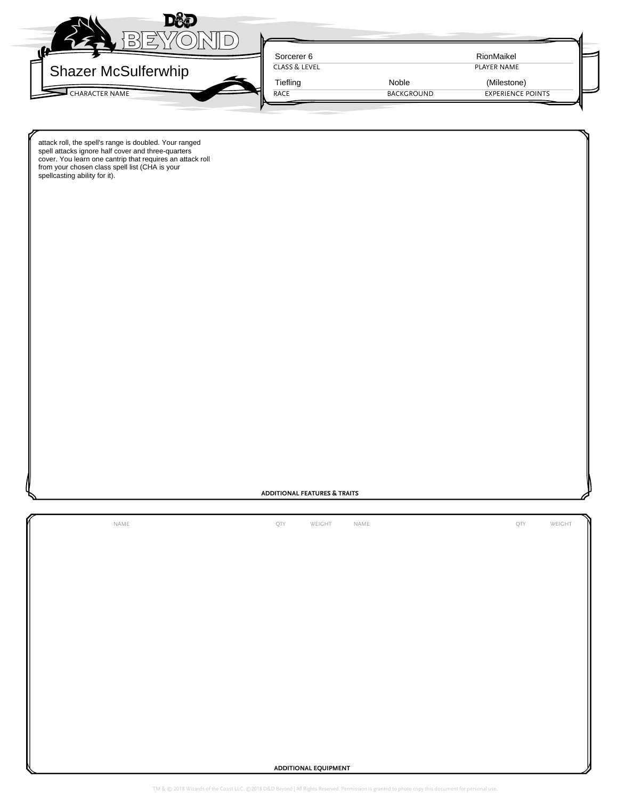

attack roll, the spell's range is doubled. Your ranged spell attacks ignore half cover and three-quarters cover. You learn one cantrip that requires an attack roll from your chosen class spell list (CHA is your spellcasting ability for it).

# **ADDITIONAL FEATURES & TRAITS**

NAME QTY WEIGHT NAME QTY WEIGHT

**ADDITIONAL EQUIPMENT**

TM & © 2018 Wizards of the Coast LLC. ©2018 D&D Beyond | All Rights Reserved. Permission is granted to photo copy this document for personal use.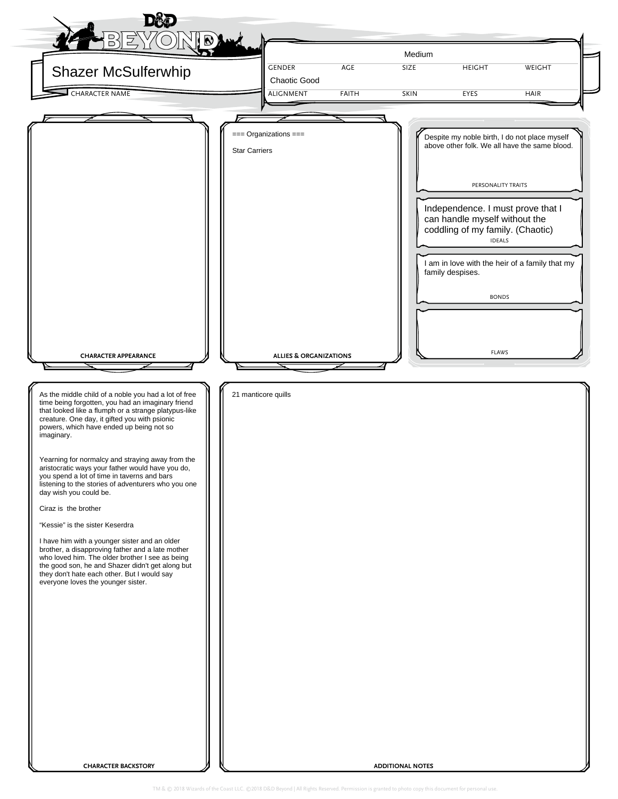